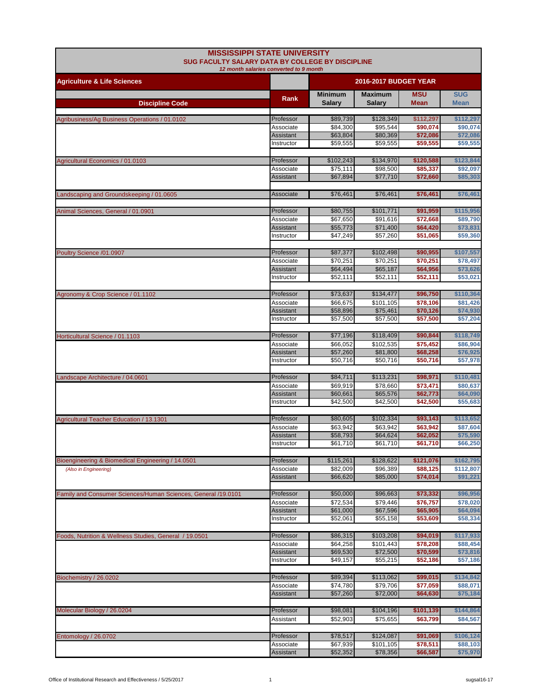| <b>MISSISSIPPI STATE UNIVERSITY</b><br>SUG FACULTY SALARY DATA BY COLLEGE BY DISCIPLINE<br>12 month salaries converted to 9 month |                         |                                 |                          |                      |                           |
|-----------------------------------------------------------------------------------------------------------------------------------|-------------------------|---------------------------------|--------------------------|----------------------|---------------------------|
| <b>Agriculture &amp; Life Sciences</b>                                                                                            |                         | 2016-2017 BUDGET YEAR           |                          |                      |                           |
| <b>Discipline Code</b>                                                                                                            | Rank                    | <b>Minimum</b><br><b>Salary</b> | <b>Maximum</b><br>Salary | <b>MSU</b><br>Mean   | <b>SUG</b><br><b>Mean</b> |
|                                                                                                                                   |                         |                                 |                          |                      |                           |
| Agribusiness/Ag Business Operations / 01.0102                                                                                     | Professor               | \$89,739                        | \$128,349                | \$112,297            | \$112,297                 |
|                                                                                                                                   | Associate<br>Assistant  | \$84,300<br>\$63,804            | \$95,544<br>\$80,369     | \$90,074<br>\$72,086 | \$90,074<br>\$72,086      |
|                                                                                                                                   | Instructor              | \$59,555                        | \$59,555                 | \$59,555             | \$59,555                  |
| Agricultural Economics / 01.0103                                                                                                  | Professor               | \$102,243                       | \$134,970                | \$120,588            | \$123,844                 |
|                                                                                                                                   | Associate               | \$75,111                        | \$98,500                 | \$85,337             | \$92,097                  |
|                                                                                                                                   | Assistant               | \$67,894                        | \$77,710                 | \$72,660             | \$85,303                  |
| Landscaping and Groundskeeping / 01.0605                                                                                          | Associate               | \$76,461                        | \$76,461                 | \$76,461             | \$76,461                  |
|                                                                                                                                   |                         |                                 |                          |                      |                           |
| Animal Sciences, General / 01.0901                                                                                                | Professor               | \$80,755                        | \$101,771                | \$91,959             | \$115,956                 |
|                                                                                                                                   | Associate<br>Assistant  | \$67,650<br>\$55,773            | \$91,616<br>\$71,400     | \$72,668<br>\$64,420 | \$89,790<br>\$73,831      |
|                                                                                                                                   | Instructor              | \$47,249                        | \$57,260                 | \$51,065             | \$59,360                  |
|                                                                                                                                   |                         |                                 |                          |                      |                           |
| Poultry Science /01.0907                                                                                                          | Professor               | \$87,377                        | \$102,498                | \$90,955             | \$107,557                 |
|                                                                                                                                   | Associate               | \$70,251                        | \$70,251                 | \$70,251             | \$78,497                  |
|                                                                                                                                   | Assistant<br>Instructor | \$64,494<br>\$52,111            | \$65,187<br>\$52,111     | \$64,956<br>\$52,111 | \$73,626<br>\$53,021      |
|                                                                                                                                   |                         |                                 |                          |                      |                           |
| Agronomy & Crop Science / 01.1102                                                                                                 | Professor               | \$73,637                        | \$134,477                | \$96,750             | \$110,364                 |
|                                                                                                                                   | Associate               | \$66,675                        | \$101,105                | \$78,106             | \$81,426                  |
|                                                                                                                                   | Assistant               | \$58,896                        | \$75,461                 | \$70,126             | \$74,930                  |
|                                                                                                                                   | Instructor              | \$57,500                        | \$57,500                 | \$57,500             | \$57,204                  |
| Horticultural Science / 01.1103                                                                                                   | Professor               | \$77,196                        | \$118,409                | \$90,844             | \$118,749                 |
|                                                                                                                                   | Associate               | \$66,052                        | \$102,535                | \$75,452             | \$86,904                  |
|                                                                                                                                   | Assistant               | \$57,260                        | \$81,800                 | \$68,258             | \$76,925                  |
|                                                                                                                                   | Instructor              | \$50,716                        | \$50,716                 | \$50,716             | \$57,978                  |
| Landscape Architecture / 04.0601                                                                                                  | Professor               | \$84,711                        | \$113,231                | \$98,971             | \$110,481                 |
|                                                                                                                                   | Associate               | \$69,919                        | \$78,660                 | \$73,471             | \$80,637                  |
|                                                                                                                                   | <b>Assistant</b>        | \$60,661                        | \$65,576                 | \$62,773             | \$64,090                  |
|                                                                                                                                   | Instructor              | \$42,500                        | \$42.500                 | \$42,500             | \$55,683                  |
| Agricultural Teacher Education / 13.1301                                                                                          | Professor               | \$80,605                        | \$102,334                | \$93,143             | \$113,652                 |
|                                                                                                                                   | Associate               | \$63,942                        | \$63,942                 | \$63,942             | \$87,604                  |
|                                                                                                                                   | Assistant               | \$58,793                        | \$64,624                 | \$62,052             | \$75,590                  |
|                                                                                                                                   | Instructor              | \$61,710                        | \$61,710                 | \$61,710             | \$66,250                  |
| Bioengineering & Biomedical Engineering / 14.0501                                                                                 | Professor               | \$115,261                       | \$128,622                | \$121,076            | \$162,795                 |
| (Also in Engineering)                                                                                                             | Associate               | \$82,009                        | \$96,389                 | \$88,125             | \$112,807                 |
|                                                                                                                                   | Assistant               | \$66,620                        | \$85,000                 | \$74,014             | \$91,221                  |
|                                                                                                                                   |                         |                                 |                          |                      |                           |
| Family and Consumer Sciences/Human Sciences, General /19.0101                                                                     | Professor<br>Associate  | \$50,000<br>\$72,534            | \$96,663<br>\$79,446     | \$73,332<br>\$76,757 | \$96,956<br>\$78,020      |
|                                                                                                                                   | Assistant               | \$61,000                        | \$67,596                 | \$65,905             | \$64,094                  |
|                                                                                                                                   | Instructor              | \$52,061                        | \$55,158                 | \$53,609             | \$58,334                  |
|                                                                                                                                   |                         |                                 |                          |                      |                           |
| Foods, Nutrition & Wellness Studies, General / 19.0501                                                                            | Professor               | \$86,315<br>\$64,258            | \$103,208<br>\$101,443   | \$94,019             | \$117,933                 |
|                                                                                                                                   | Associate<br>Assistant  | \$69,530                        | \$72,500                 | \$78,208<br>\$70,599 | \$88,454<br>\$73,816      |
|                                                                                                                                   | Instructor              | \$49,157                        | \$55,215                 | \$52,186             | \$57,186                  |
|                                                                                                                                   |                         |                                 |                          |                      |                           |
| Biochemistry / 26.0202                                                                                                            | Professor               | \$89,394                        | \$113,062                | \$99,015             | \$134,842                 |
|                                                                                                                                   | Associate<br>Assistant  | \$74,780<br>\$57,260            | \$79,706<br>\$72,000     | \$77,059<br>\$64,630 | \$88,071<br>\$75,184      |
|                                                                                                                                   |                         |                                 |                          |                      |                           |
| Molecular Biology / 26.0204                                                                                                       | Professor               | \$98,081                        | \$104,196                | \$101,139            | \$144,864                 |
|                                                                                                                                   | Assistant               | \$52,903                        | \$75,655                 | \$63,799             | \$84,567                  |
|                                                                                                                                   |                         |                                 |                          |                      |                           |
| Entomology / 26.0702                                                                                                              | Professor<br>Associate  | \$78,517<br>\$67,939            | \$124,087<br>\$101,105   | \$91,069<br>\$78,511 | \$106,124<br>\$88,103     |
|                                                                                                                                   | Assistant               | \$52,352                        | \$78,356                 | \$66,587             | \$75,970                  |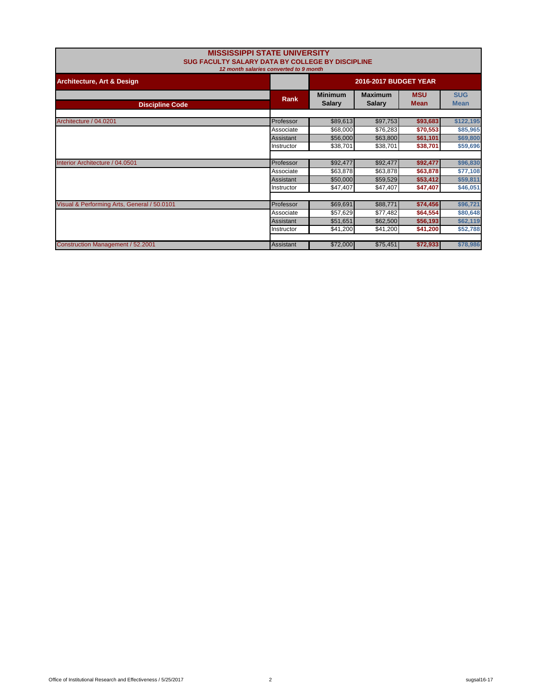| <b>MISSISSIPPI STATE UNIVERSITY</b><br>SUG FACULTY SALARY DATA BY COLLEGE BY DISCIPLINE<br>12 month salaries converted to 9 month |                              |                                 |                                 |                           |                           |
|-----------------------------------------------------------------------------------------------------------------------------------|------------------------------|---------------------------------|---------------------------------|---------------------------|---------------------------|
| <b>Architecture, Art &amp; Design</b>                                                                                             | <b>2016-2017 BUDGET YEAR</b> |                                 |                                 |                           |                           |
| <b>Discipline Code</b>                                                                                                            | Rank                         | <b>Minimum</b><br><b>Salary</b> | <b>Maximum</b><br><b>Salary</b> | <b>MSU</b><br><b>Mean</b> | <b>SUG</b><br><b>Mean</b> |
| Architecture / 04.0201                                                                                                            | Professor                    | \$89,613                        | \$97,753                        | \$93,683                  | \$122,195                 |
|                                                                                                                                   | Associate                    | \$68,000                        | \$76,283                        | \$70,553                  | \$85,965                  |
|                                                                                                                                   | Assistant                    | \$56,000                        | \$63,800                        | \$61,101                  | \$69,800                  |
|                                                                                                                                   | Instructor                   | \$38,701                        | \$38,701                        | \$38,701                  | \$59,696                  |
|                                                                                                                                   |                              |                                 |                                 |                           |                           |
| Interior Architecture / 04.0501                                                                                                   | Professor                    | \$92,477                        | \$92,477                        | \$92,477                  | \$96,830                  |
|                                                                                                                                   | Associate                    | \$63,878                        | \$63,878                        | \$63,878                  | \$77,108                  |
|                                                                                                                                   | Assistant                    | \$50,000                        | \$59,529                        | \$53,412                  | \$59,811                  |
|                                                                                                                                   | Instructor                   | \$47,407                        | \$47,407                        | \$47,407                  | \$46,051                  |
|                                                                                                                                   |                              |                                 |                                 |                           |                           |
| Visual & Performing Arts, General / 50.0101                                                                                       | Professor                    | \$69,691                        | \$88,771                        | \$74,456                  | \$96,721                  |
|                                                                                                                                   | Associate                    | \$57,629                        | \$77,482                        | \$64,554                  | \$80,648                  |
|                                                                                                                                   | Assistant                    | \$51,651                        | \$62,500                        | \$56,193                  | \$62,119                  |
|                                                                                                                                   | Instructor                   | \$41,200                        | \$41,200                        | \$41,200                  | \$52,788                  |
|                                                                                                                                   |                              |                                 |                                 |                           |                           |
| Construction Management / 52.2001                                                                                                 | Assistant                    | \$72,000                        | \$75,451                        | \$72,933                  | \$78,986                  |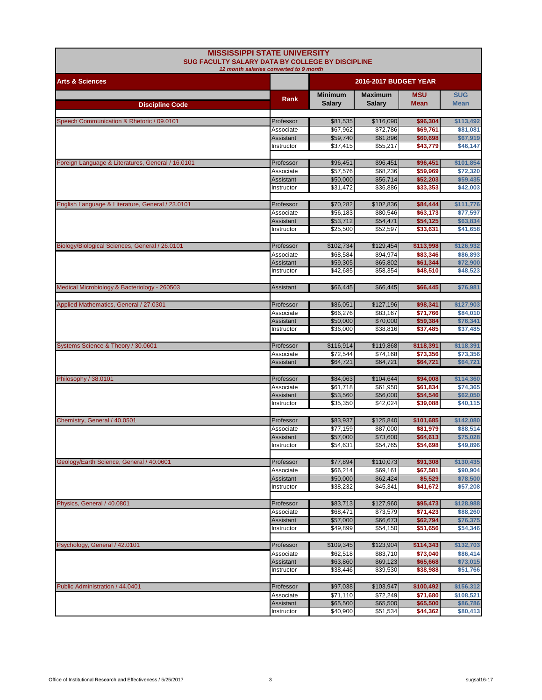| <b>MISSISSIPPI STATE UNIVERSITY</b><br>SUG FACULTY SALARY DATA BY COLLEGE BY DISCIPLINE | 12 month salaries converted to 9 month |                       |                              |                      |                       |
|-----------------------------------------------------------------------------------------|----------------------------------------|-----------------------|------------------------------|----------------------|-----------------------|
| <b>Arts &amp; Sciences</b>                                                              |                                        |                       | <b>2016-2017 BUDGET YEAR</b> |                      |                       |
|                                                                                         | Rank                                   | <b>Minimum</b>        | <b>Maximum</b>               | <b>MSU</b>           | <b>SUG</b>            |
| <b>Discipline Code</b>                                                                  |                                        | <b>Salary</b>         | <b>Salary</b>                | <b>Mean</b>          | <b>Mean</b>           |
| Speech Communication & Rhetoric / 09.0101                                               | Professor                              | \$81,535              | \$116,090                    | \$96,304             | \$113,492             |
|                                                                                         | Associate                              | \$67,962              | \$72,786                     | \$69,761             | \$81,081              |
|                                                                                         | Assistant                              | \$59,740              | \$61,896                     | \$60,698             | \$67,919              |
|                                                                                         | Instructor                             | \$37,415              | \$55,217                     | \$43,779             | \$46,147              |
| Foreign Language & Literatures, General / 16.0101                                       | Professor                              | \$96,451              | \$96,451                     | \$96,451             | \$101,854             |
|                                                                                         | Associate                              | \$57,576              | \$68,236                     | \$59,969             | \$72,320              |
|                                                                                         | Assistant                              | \$50,000              | \$56,714                     | \$52,203             | \$59,435              |
|                                                                                         | Instructor                             | \$31,472              | \$36,886                     | \$33,353             | \$42,003              |
|                                                                                         |                                        |                       |                              |                      |                       |
| English Language & Literature, General / 23.0101                                        | Professor<br>Associate                 | \$70,282<br>\$56,183  | \$102,836<br>\$80,546        | \$84,444<br>\$63,173 | \$111,776<br>\$77,597 |
|                                                                                         | Assistant                              | \$53,712              | \$54,471                     | \$54,125             | \$63,834              |
|                                                                                         | Instructor                             | \$25,500              | \$52,597                     | \$33,631             | \$41.658              |
|                                                                                         |                                        |                       |                              |                      |                       |
| Biology/Biological Sciences, General / 26.0101                                          | Professor                              | \$102,734             | \$129,454                    | \$113,998            | \$126,932             |
|                                                                                         | Associate                              | \$68.584              | \$94.974                     | \$83,346             | \$86,893              |
|                                                                                         | Assistant<br>Instructor                | \$59,305<br>\$42,685  | \$65,802<br>\$58,354         | \$61,344<br>\$48,510 | \$72,900<br>\$48,523  |
|                                                                                         |                                        |                       |                              |                      |                       |
| Medical Microbiology & Bacteriology - 260503                                            | Assistant                              | \$66,445              | \$66,445                     | \$66,445             | \$76,981              |
| Applied Mathematics, General / 27.0301                                                  | Professor                              | \$86,051              | \$127,196                    | \$98,341             | \$127,903             |
|                                                                                         | Associate                              | \$66,276              | \$83,167                     | \$71,766             | \$84,010              |
|                                                                                         | Assistant                              | \$50,000              | \$70,000                     | \$59,384             | \$76,341              |
|                                                                                         | Instructor                             | \$36,000              | \$38,816                     | \$37,485             | \$37,485              |
| Systems Science & Theory / 30.0601                                                      | Professor                              |                       | \$119,868                    | \$118,391            | \$118,391             |
|                                                                                         | Associate                              | \$116,914<br>\$72,544 | \$74,168                     | \$73,356             | \$73,356              |
|                                                                                         | Assistant                              | \$64,721              | \$64,721                     | \$64,721             | \$64,721              |
|                                                                                         |                                        |                       |                              |                      |                       |
| Philosophy / 38.0101                                                                    | Professor                              | \$84,063              | \$104,644                    | \$94,008             | \$114,360             |
|                                                                                         | Associate                              | \$61,718              | \$61,950                     | \$61,834             | \$74,365              |
|                                                                                         | Assistant<br>Instructor                | \$53,560<br>\$35.350  | \$56,000<br>\$42,024         | \$54,546<br>\$39,088 | \$62,050<br>\$40,115  |
|                                                                                         |                                        |                       |                              |                      |                       |
| Chemistry, General / 40.0501                                                            | Professor                              | \$83,937              | \$125,840                    | \$101,685            | \$142,080             |
|                                                                                         | Associate                              | \$77,159              | \$87,000                     | \$81,979             | \$88,514              |
|                                                                                         | Assistant                              | \$57,000              | \$73,600                     | \$64,613             | \$75,028              |
|                                                                                         | Instructor                             | \$54,631              | \$54,765                     | \$54,698             | \$49,896              |
| Geology/Earth Science, General / 40.0601                                                | Professor                              | \$77,894              | \$110,073                    | \$91,308             | \$130,435             |
|                                                                                         | Associate                              | \$66,214              | \$69,161                     | \$67,581             | \$90,904              |
|                                                                                         | Assistant                              | \$50,000              | \$62,424                     | \$5,529              | \$78,500              |
|                                                                                         | Instructor                             | \$38,232              | \$45,341                     | \$41,672             | \$57,208              |
|                                                                                         |                                        |                       |                              |                      |                       |
| Physics, General / 40.0801                                                              | Professor                              | \$83,713              | \$127,960                    | \$95,473<br>\$71,423 | \$128,988             |
|                                                                                         | Associate<br>Assistant                 | \$68,471<br>\$57,000  | \$73,579<br>\$66,673         | \$62,794             | \$88,260<br>\$76,375  |
|                                                                                         | Instructor                             | \$49,899              | \$54,150                     | \$51,656             | \$54,346              |
|                                                                                         |                                        |                       |                              |                      |                       |
| Psychology, General / 42.0101                                                           | Professor                              | \$109,345             | \$123,904                    | \$114,343            | \$132,703             |
|                                                                                         | Associate                              | \$62,518              | \$83,710                     | \$73,040             | \$86,414              |
|                                                                                         | Assistant                              | \$63,860              | \$69,123<br>\$39,530         | \$65,668             | \$73,015              |
|                                                                                         | Instructor                             | \$38,446              |                              | \$38,988             | \$51,766              |
| Public Administration / 44.0401                                                         | Professor                              | \$97,038              | \$103,947                    | \$100,492            | \$156,312             |
|                                                                                         | Associate                              | \$71,110              | \$72,249                     | \$71,680             | \$108,521             |
|                                                                                         | Assistant                              | \$65,500              | \$65,500                     | \$65,500             | \$86,786              |
|                                                                                         | Instructor                             | \$40,900              | \$51,534                     | \$44,362             | \$80,413              |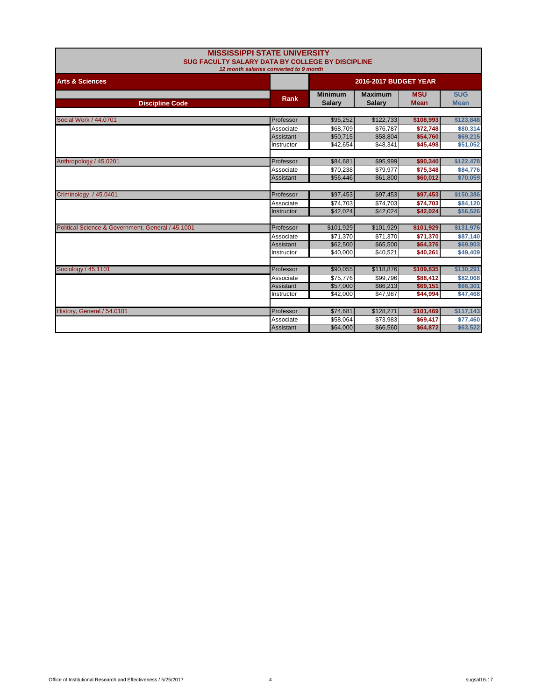|                                                   | <b>MISSISSIPPI STATE UNIVERSITY</b>              |                       |                |             |             |  |
|---------------------------------------------------|--------------------------------------------------|-----------------------|----------------|-------------|-------------|--|
|                                                   | SUG FACULTY SALARY DATA BY COLLEGE BY DISCIPLINE |                       |                |             |             |  |
|                                                   | 12 month salaries converted to 9 month           |                       |                |             |             |  |
| <b>Arts &amp; Sciences</b>                        |                                                  | 2016-2017 BUDGET YEAR |                |             |             |  |
|                                                   | <b>Rank</b>                                      | <b>Minimum</b>        | <b>Maximum</b> | <b>MSU</b>  | <b>SUG</b>  |  |
| <b>Discipline Code</b>                            |                                                  | <b>Salary</b>         | <b>Salary</b>  | <b>Mean</b> | <b>Mean</b> |  |
|                                                   |                                                  |                       |                |             |             |  |
| Social Work / 44.0701                             | Professor                                        | \$95,252              | \$122,733      | \$108,993   | \$123,848   |  |
|                                                   | Associate                                        | \$68,709              | \$76,787       | \$72,748    | \$80,314    |  |
|                                                   | Assistant                                        | \$50,715              | \$58,804       | \$54,760    | \$69,215    |  |
|                                                   | Instructor                                       | \$42,654              | \$48,341       | \$45,498    | \$51,052    |  |
| Anthropology / 45.0201                            | Professor                                        | \$84,681              | \$95,999       | \$90,340    | \$122,478   |  |
|                                                   | Associate                                        |                       | \$79,977       |             | \$84,776    |  |
|                                                   | Assistant                                        | \$70,238              | \$61,800       | \$75,348    | \$70,059    |  |
|                                                   |                                                  | \$56,446              |                | \$60,012    |             |  |
| Criminology / 45.0401                             | Professor                                        | \$97,453              | \$97,453       | \$97,453    | \$150,386   |  |
|                                                   | Associate                                        | \$74,703              | \$74,703       | \$74,703    | \$84,120    |  |
|                                                   | Instructor                                       | \$42,024              | \$42,024       | \$42,024    | \$56,526    |  |
|                                                   |                                                  |                       |                |             |             |  |
| Political Science & Government, General / 45.1001 | Professor                                        | \$101,929             | \$101,929      | \$101,929   | \$131,976   |  |
|                                                   | Associate                                        | \$71,370              | \$71,370       | \$71,370    | \$87,140    |  |
|                                                   | Assistant                                        | \$62,500              | \$65,500       | \$64,376    | \$69,903    |  |
|                                                   | Instructor                                       | \$40,000              | \$40,521       | \$40,261    | \$49,409    |  |
|                                                   |                                                  |                       |                |             |             |  |
| Sociology / 45.1101                               | Professor                                        | \$90,055              | \$118,876      | \$109,835   | \$130,291   |  |
|                                                   | Associate                                        | \$75,776              | \$99,796       | \$88,412    | \$82,068    |  |
|                                                   | Assistant                                        | \$57,000              | \$86,213       | \$69,151    | \$66,301    |  |
|                                                   | Instructor                                       | \$42,000              | \$47,987       | \$44,994    | \$47,468    |  |
| History, General / 54.0101                        | Professor                                        | \$74,681              | \$128,271      | \$101,469   | \$117,143   |  |
|                                                   | Associate                                        | \$58,064              | \$73,983       | \$69,417    | \$77,460    |  |
|                                                   | Assistant                                        | \$64,000              | \$66,560       | \$64,872    | \$63,522    |  |
|                                                   |                                                  |                       |                |             |             |  |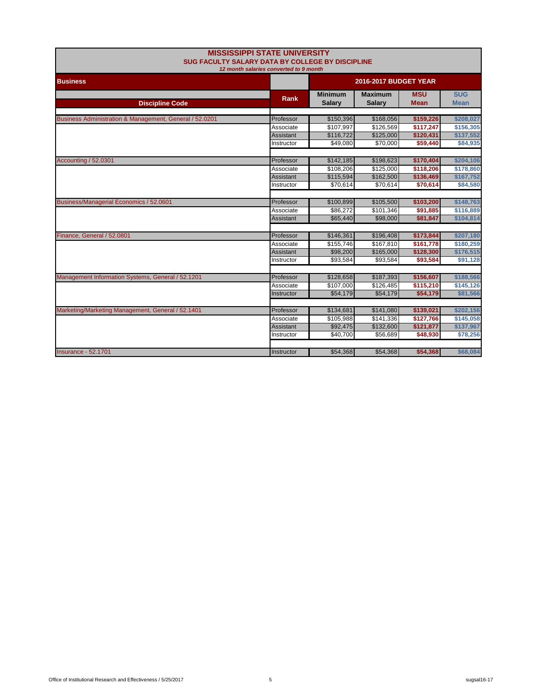| <b>MISSISSIPPI STATE UNIVERSITY</b><br>SUG FACULTY SALARY DATA BY COLLEGE BY DISCIPLINE<br>12 month salaries converted to 9 month |                       |                                 |                                 |                           |                           |
|-----------------------------------------------------------------------------------------------------------------------------------|-----------------------|---------------------------------|---------------------------------|---------------------------|---------------------------|
| <b>Business</b>                                                                                                                   | 2016-2017 BUDGET YEAR |                                 |                                 |                           |                           |
| <b>Discipline Code</b>                                                                                                            | <b>Rank</b>           | <b>Minimum</b><br><b>Salary</b> | <b>Maximum</b><br><b>Salary</b> | <b>MSU</b><br><b>Mean</b> | <b>SUG</b><br><b>Mean</b> |
| Business Administration & Management, General / 52.0201                                                                           | Professor             | \$150,396                       | \$168,056                       | \$159,226                 | \$208,027                 |
|                                                                                                                                   | Associate             | \$107,997                       | \$126,569                       | \$117,247                 | \$156,305                 |
|                                                                                                                                   | Assistant             | \$116,722                       | \$125,000                       | \$120,431                 | \$137,552                 |
|                                                                                                                                   | Instructor            | \$49.080                        | \$70,000                        | \$59,440                  | \$84,935                  |
| Accounting / 52.0301                                                                                                              | Professor             | \$142,185                       | \$198,623                       | \$170,404                 | \$204,106                 |
|                                                                                                                                   | Associate             | \$108,206                       | \$125,000                       | \$118,206                 | \$178,860                 |
|                                                                                                                                   | Assistant             | \$115,594                       | \$162,500                       | \$136,469                 | \$167,752                 |
|                                                                                                                                   | Instructor            | \$70,614                        | \$70,614                        | \$70,614                  | \$84,580                  |
|                                                                                                                                   |                       |                                 |                                 |                           |                           |
| Business/Managerial Economics / 52.0601                                                                                           | Professor             | \$100,899                       | \$105,500                       | \$103,200                 | \$148,763                 |
|                                                                                                                                   | Associate             | \$86,272                        | \$101,346                       | \$91,885                  | \$116,889                 |
|                                                                                                                                   | <b>Assistant</b>      | \$65,440                        | \$98,000                        | \$81,847                  | \$104,814                 |
| Finance, General / 52.0801                                                                                                        | Professor             | \$146,361                       | \$196,408                       | \$173,844                 | \$207,180                 |
|                                                                                                                                   | Associate             | \$155,746                       | \$167,810                       | \$161,778                 | \$180,259                 |
|                                                                                                                                   | Assistant             | \$98,200                        | \$165,000                       | \$128,300                 | \$176,515                 |
|                                                                                                                                   | Instructor            | \$93,584                        | \$93,584                        | \$93,584                  | \$91,128                  |
| Management Information Systems, General / 52.1201                                                                                 | Professor             | \$128,658                       | \$187,393                       | \$156,607                 | \$188,566                 |
|                                                                                                                                   | Associate             | \$107,000                       | \$126,485                       | \$115,210                 | \$145,126                 |
|                                                                                                                                   | Instructor            | \$54,179                        | \$54,179                        | \$54,179                  | \$81,566                  |
|                                                                                                                                   |                       |                                 |                                 |                           |                           |
| Marketing/Marketing Management, General / 52.1401                                                                                 | Professor             | \$134,681                       | \$141,080                       | \$139,021                 | \$202,156                 |
|                                                                                                                                   | Associate             | \$105,988                       | \$141,336                       | \$127,766                 | \$145,058                 |
|                                                                                                                                   | Assistant             | \$92,475                        | \$132,600                       | \$121,877                 | \$137,967                 |
|                                                                                                                                   | Instructor            | \$40,700                        | \$56,689                        | \$48,930                  | \$78,256                  |
| <b>Insurance - 52,1701</b>                                                                                                        | Instructor            | \$54,368                        | \$54,368                        | \$54,368                  | \$68,084                  |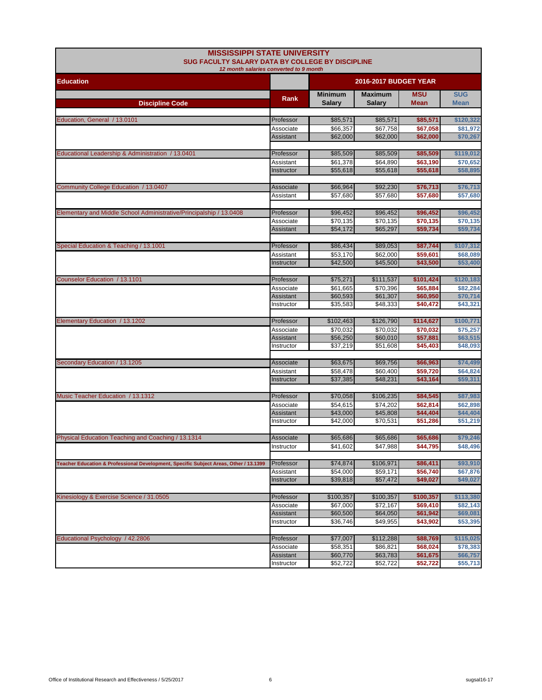| <b>MISSISSIPPI STATE UNIVERSITY</b><br>SUG FACULTY SALARY DATA BY COLLEGE BY DISCIPLINE<br>12 month salaries converted to 9 month |                        |                                 |                                 |                           |                           |
|-----------------------------------------------------------------------------------------------------------------------------------|------------------------|---------------------------------|---------------------------------|---------------------------|---------------------------|
| <b>Education</b>                                                                                                                  |                        | <b>2016-2017 BUDGET YEAR</b>    |                                 |                           |                           |
| <b>Discipline Code</b>                                                                                                            | Rank                   | <b>Minimum</b><br><b>Salary</b> | <b>Maximum</b><br><b>Salary</b> | <b>MSU</b><br><b>Mean</b> | <b>SUG</b><br><b>Mean</b> |
|                                                                                                                                   |                        |                                 |                                 |                           |                           |
| Education, General / 13.0101                                                                                                      | Professor              | \$85,571                        | \$85,571                        | \$85,571                  | \$120,322                 |
|                                                                                                                                   | Associate              | \$66,357                        | \$67,758                        | \$67,058                  | \$81,972                  |
|                                                                                                                                   | Assistant              | \$62,000                        | \$62,000                        | \$62,000                  | \$70,267                  |
| Educational Leadership & Administration / 13.0401                                                                                 | Professor              | \$85,509                        | \$85,509                        | \$85,509                  | \$119,012                 |
|                                                                                                                                   | Assistant              | \$61,378                        | \$64,890                        | \$63,190                  | \$70,652                  |
|                                                                                                                                   | Instructor             | \$55,618                        | \$55,618                        | \$55,618                  | \$58,895                  |
|                                                                                                                                   |                        |                                 |                                 |                           |                           |
| Community College Education / 13.0407                                                                                             | Associate              | \$66,964                        | \$92,230                        | \$76,713                  | \$76,713                  |
|                                                                                                                                   | Assistant              | \$57,680                        | \$57,680                        | \$57,680                  | \$57,680                  |
|                                                                                                                                   |                        |                                 |                                 |                           |                           |
| Elementary and Middle School Administrative/Principalship / 13.0408                                                               | Professor              | \$96,452                        | \$96,452                        | \$96,452                  | \$96,452                  |
|                                                                                                                                   | Associate              | \$70,135                        | \$70,135                        | \$70,135                  | \$70,135                  |
|                                                                                                                                   | Assistant              | \$54,172                        | \$65,297                        | \$59,734                  | \$59,734                  |
| Special Education & Teaching / 13.1001                                                                                            | Professor              | \$86,434                        | \$89,053                        | \$87,744                  | \$107,312                 |
|                                                                                                                                   | Assistant              | \$53,170                        | \$62,000                        | \$59,601                  | \$68,089                  |
|                                                                                                                                   | Instructor             | \$42,500                        | \$45,500                        | \$43,500                  | \$53,400                  |
|                                                                                                                                   |                        |                                 |                                 |                           |                           |
| Counselor Education / 13.1101                                                                                                     | Professor              | \$75,271                        | \$111,537                       | \$101,424                 | \$120,183                 |
|                                                                                                                                   | Associate              | \$61,665                        | \$70,396                        | \$65,884                  | \$82,284                  |
|                                                                                                                                   | Assistant              | \$60,593                        | \$61,307                        | \$60,950                  | \$70,714                  |
|                                                                                                                                   | Instructor             | \$35,583                        | \$48,333                        | \$40,472                  | \$43,321                  |
| Elementary Education / 13.1202                                                                                                    | Professor              | \$102,463                       | \$126,790                       | \$114,627                 | \$100,771                 |
|                                                                                                                                   | Associate              | \$70,032                        | \$70,032                        | \$70,032                  | \$75,257                  |
|                                                                                                                                   | Assistant              | \$56,250                        | \$60,010                        | \$57,881                  | \$63,515                  |
|                                                                                                                                   | Instructor             | \$37,219                        | \$51,608                        | \$45,403                  | \$48,093                  |
|                                                                                                                                   |                        |                                 |                                 |                           |                           |
| Secondary Education / 13.1205                                                                                                     | Associate              | \$63,675                        | \$69,756                        | \$66,963                  | \$74,499                  |
|                                                                                                                                   | Assistant              | \$58,478                        | \$60,400                        | \$59,720                  | \$64,824                  |
|                                                                                                                                   | Instructor             | \$37,385                        | \$48,231                        | \$43,164                  | \$59,311                  |
|                                                                                                                                   |                        |                                 |                                 |                           |                           |
| Music Teacher Education / 13.1312                                                                                                 | Professor              | \$70,058                        | \$106,235                       | \$84,545                  | \$87,983                  |
|                                                                                                                                   | Associate<br>Assistant | \$54,615<br>\$43,000            | \$74,202<br>\$45,808            | \$62,814<br>\$44,404      | \$62,898<br>\$44,404      |
|                                                                                                                                   | Instructor             | \$42,000                        | \$70,531                        | \$51,286                  | \$51,219                  |
|                                                                                                                                   |                        |                                 |                                 |                           |                           |
| Physical Education Teaching and Coaching / 13.1314                                                                                | Associate              | \$65,686                        | \$65,686                        | \$65,686                  | \$79,246                  |
|                                                                                                                                   | Instructor             | \$41,602                        | \$47,988                        | \$44,795                  | \$48,496                  |
|                                                                                                                                   |                        |                                 |                                 |                           |                           |
| Teacher Education & Professional Development, Specific Subject Areas, Other / 13.1399                                             | Professor              | \$74,874                        | \$106,971                       | \$86,411                  | \$93,910                  |
|                                                                                                                                   | Assistant              | \$54,000                        | \$59,171                        | \$56,740                  | \$67,876                  |
|                                                                                                                                   | <b>Instructor</b>      | \$39,818                        | \$57,472                        | \$49,027                  | \$49,027                  |
| Kinesiology & Exercise Science / 31.0505                                                                                          | Professor              | \$100,357                       | \$100,357                       | \$100,357                 | \$113,380                 |
|                                                                                                                                   | Associate              | \$67,000                        | \$72,167                        | \$69,410                  | \$82,143                  |
|                                                                                                                                   | Assistant              | \$60,500                        | \$64,050                        | \$61,942                  | \$69,081                  |
|                                                                                                                                   | Instructor             | \$36,746                        | \$49,955                        | \$43,902                  | \$53,395                  |
|                                                                                                                                   |                        |                                 |                                 |                           |                           |
| Educational Psychology / 42.2806                                                                                                  | Professor              | \$77,007                        | \$112,288                       | \$88,769                  | \$115,025                 |
|                                                                                                                                   | Associate              | \$58,351                        | \$86,821                        | \$68,024                  | \$78,383                  |
|                                                                                                                                   | Assistant              | \$60,770                        | \$63,783                        | \$61,675                  | \$66,757                  |
|                                                                                                                                   | Instructor             | \$52,722                        | \$52,722                        | \$52,722                  | \$55,713                  |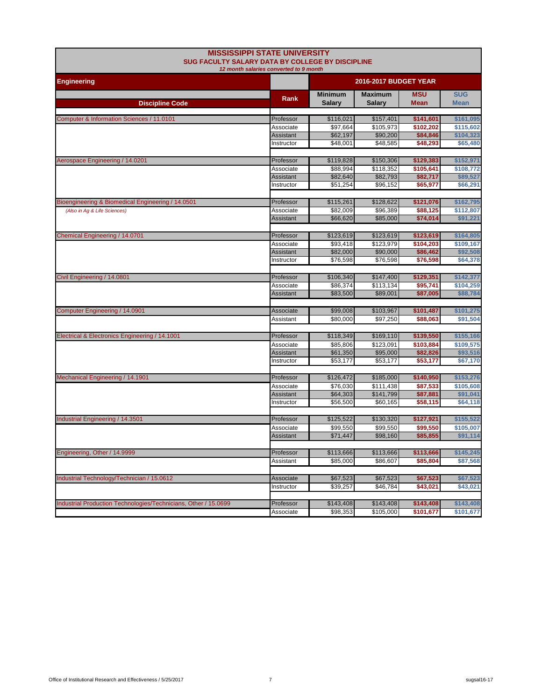| <b>MISSISSIPPI STATE UNIVERSITY</b><br>SUG FACULTY SALARY DATA BY COLLEGE BY DISCIPLINE<br>12 month salaries converted to 9 month |                  |                                 |                                 |                           |                           |  |
|-----------------------------------------------------------------------------------------------------------------------------------|------------------|---------------------------------|---------------------------------|---------------------------|---------------------------|--|
| <b>Engineering</b>                                                                                                                |                  |                                 | <b>2016-2017 BUDGET YEAR</b>    |                           |                           |  |
| <b>Discipline Code</b>                                                                                                            | <b>Rank</b>      | <b>Minimum</b><br><b>Salary</b> | <b>Maximum</b><br><b>Salary</b> | <b>MSU</b><br><b>Mean</b> | <b>SUG</b><br><b>Mean</b> |  |
|                                                                                                                                   |                  |                                 |                                 |                           |                           |  |
| Computer & Information Sciences / 11.0101                                                                                         | Professor        | \$116,021                       | \$157,401                       | \$141,601                 | \$161,095                 |  |
|                                                                                                                                   | Associate        | \$97,664                        | \$105,973                       | \$102,202                 | \$115,602                 |  |
|                                                                                                                                   | <b>Assistant</b> | \$62,197                        | \$90,200                        | \$84,846                  | \$104,323                 |  |
|                                                                                                                                   | Instructor       | \$48,001                        | \$48,585                        | \$48,293                  | \$65,480                  |  |
| Aerospace Engineering / 14.0201                                                                                                   | Professor        | \$119,828                       | \$150,306                       | \$129,383                 | \$152,971                 |  |
|                                                                                                                                   | Associate        | \$88,994                        | \$118,352                       | \$105,641                 | \$108,772                 |  |
|                                                                                                                                   | Assistant        | \$82,640                        | \$82,793                        | \$82,717                  | \$89,527                  |  |
|                                                                                                                                   | Instructor       | \$51,254                        | \$96,152                        | \$65,977                  | \$66,291                  |  |
| Bioengineering & Biomedical Engineering / 14.0501                                                                                 | Professor        | \$115,261                       | \$128,622                       | \$121,076                 | \$162,795                 |  |
| (Also in Ag & Life Sciences)                                                                                                      | Associate        | \$82,009                        | \$96,389                        | \$88,125                  | \$112,807                 |  |
|                                                                                                                                   | Assistant        | \$66,620                        | \$85,000                        | \$74,014                  | \$91,221                  |  |
|                                                                                                                                   |                  |                                 |                                 |                           |                           |  |
| Chemical Engineering / 14.0701                                                                                                    | Professor        | \$123,619                       | \$123,619                       | \$123,619                 | \$164,805                 |  |
|                                                                                                                                   | Associate        | \$93,418                        | \$123,979                       | \$104,203                 | \$109,167                 |  |
|                                                                                                                                   | <b>Assistant</b> | \$82,000                        | \$90,000                        | \$86,462                  | \$92,508                  |  |
|                                                                                                                                   | Instructor       | \$76,598                        | \$76,598                        | \$76,598                  | \$64,378                  |  |
|                                                                                                                                   |                  |                                 |                                 |                           |                           |  |
| Civil Engineering / 14.0801                                                                                                       | Professor        | \$106,340                       | \$147,400                       | \$129,351                 | \$142,377                 |  |
|                                                                                                                                   | Associate        | \$86,374<br>\$83,500            | \$113,134<br>\$89,001           | \$95,741<br>\$87,005      | \$104,259<br>\$88,784     |  |
|                                                                                                                                   | Assistant        |                                 |                                 |                           |                           |  |
| Computer Engineering / 14.0901                                                                                                    | Associate        | \$99,008                        | \$103,967                       | \$101,487                 | \$101,275                 |  |
|                                                                                                                                   | Assistant        | \$80,000                        | \$97,250                        | \$88,063                  | \$91,504                  |  |
|                                                                                                                                   |                  |                                 |                                 |                           |                           |  |
| Electrical & Electronics Engineering / 14.1001                                                                                    | Professor        | \$118,349                       | \$169,110                       | \$139,550                 | \$155,166                 |  |
|                                                                                                                                   | Associate        | \$85,806                        | \$123,091                       | \$103,884                 | \$109,575                 |  |
|                                                                                                                                   | Assistant        | \$61,350                        | \$95,000                        | \$82,826                  | \$93,516                  |  |
|                                                                                                                                   | Instructor       | \$53,177                        | \$53,177                        | \$53,177                  | \$67,170                  |  |
| Mechanical Engineering / 14.1901                                                                                                  | Professor        | \$126,472                       | \$185,000                       | \$140,950                 | \$153,276                 |  |
|                                                                                                                                   | Associate        | \$76,030                        | \$111,438                       | \$87,533                  | \$105,608                 |  |
|                                                                                                                                   | Assistant        | \$64,303                        | \$141,799                       | \$87,881                  | \$91,041                  |  |
|                                                                                                                                   | Instructor       | \$56,500                        | \$60.165                        | \$58,115                  | \$64,118                  |  |
|                                                                                                                                   |                  |                                 |                                 |                           |                           |  |
| Industrial Engineering / 14.3501                                                                                                  | Professor        | \$125,522                       | \$130,320                       | \$127,921                 | \$155,522                 |  |
|                                                                                                                                   | Associate        | \$99,550                        | \$99,550                        | \$99,550                  | \$105,007                 |  |
|                                                                                                                                   | Assistant        | \$71,447                        | \$98,160                        | \$85,855                  | \$91,114                  |  |
| Engineering, Other / 14.9999                                                                                                      | Professor        | \$113,666                       | \$113,666                       | \$113,666                 | \$145,245                 |  |
|                                                                                                                                   | Assistant        | \$85,000                        | \$86,607                        | \$85,804                  | \$87,568                  |  |
|                                                                                                                                   |                  |                                 |                                 |                           |                           |  |
| Industrial Technology/Technician / 15.0612                                                                                        | Associate        | \$67,523                        | \$67,523                        | \$67,523                  | \$67,523                  |  |
|                                                                                                                                   | Instructor       | \$39,257                        | \$46,784                        | \$43,021                  | \$43,021                  |  |
|                                                                                                                                   |                  |                                 |                                 |                           |                           |  |
| Industrial Production Technologies/Technicians, Other / 15.0699                                                                   | Professor        | \$143,408                       | \$143,408                       | \$143,408                 | \$143,408                 |  |
|                                                                                                                                   | Associate        | \$98,353                        | \$105,000                       | \$101,677                 | \$101,677                 |  |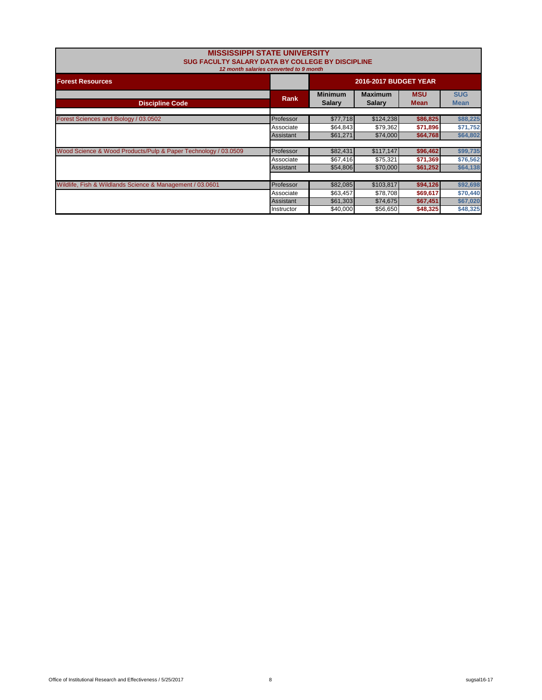| <b>MISSISSIPPI STATE UNIVERSITY</b><br>SUG FACULTY SALARY DATA BY COLLEGE BY DISCIPLINE | 12 month salaries converted to 9 month |                                 |                                 |                           |                           |
|-----------------------------------------------------------------------------------------|----------------------------------------|---------------------------------|---------------------------------|---------------------------|---------------------------|
| <b>Forest Resources</b>                                                                 |                                        | <b>2016-2017 BUDGET YEAR</b>    |                                 |                           |                           |
| <b>Discipline Code</b>                                                                  | Rank                                   | <b>Minimum</b><br><b>Salary</b> | <b>Maximum</b><br><b>Salary</b> | <b>MSU</b><br><b>Mean</b> | <b>SUG</b><br><b>Mean</b> |
|                                                                                         |                                        |                                 |                                 |                           |                           |
| Forest Sciences and Biology / 03.0502                                                   | Professor                              | \$77,718                        | \$124,238                       | \$86,825                  | \$88,225                  |
|                                                                                         | Associate                              | \$64,843                        | \$79,362                        | \$71,896                  | \$71,752                  |
|                                                                                         | Assistant                              | \$61,271                        | \$74,000                        | \$64,768                  | \$64,802                  |
| Wood Science & Wood Products/Pulp & Paper Technology / 03.0509                          | Professor                              | \$82,431                        | \$117,147                       | \$96,462                  | \$99,735                  |
|                                                                                         | Associate                              | \$67,416                        | \$75,321                        | \$71,369                  | \$76,562                  |
|                                                                                         | Assistant                              | \$54,806                        | \$70,000                        | \$61,252                  | \$64,138                  |
|                                                                                         |                                        |                                 |                                 |                           |                           |
| Wildlife, Fish & Wildlands Science & Management / 03.0601                               | Professor                              | \$82,085                        | \$103,817                       | \$94,126                  | \$92,698                  |
|                                                                                         | Associate                              | \$63.457                        | \$78.708                        | \$69,617                  | \$70,440                  |
|                                                                                         | Assistant                              | \$61,303                        | \$74,675                        | \$67,451                  | \$67,020                  |
|                                                                                         | Instructor                             | \$40,000                        | \$56,650                        | \$48,325                  | \$48,325                  |